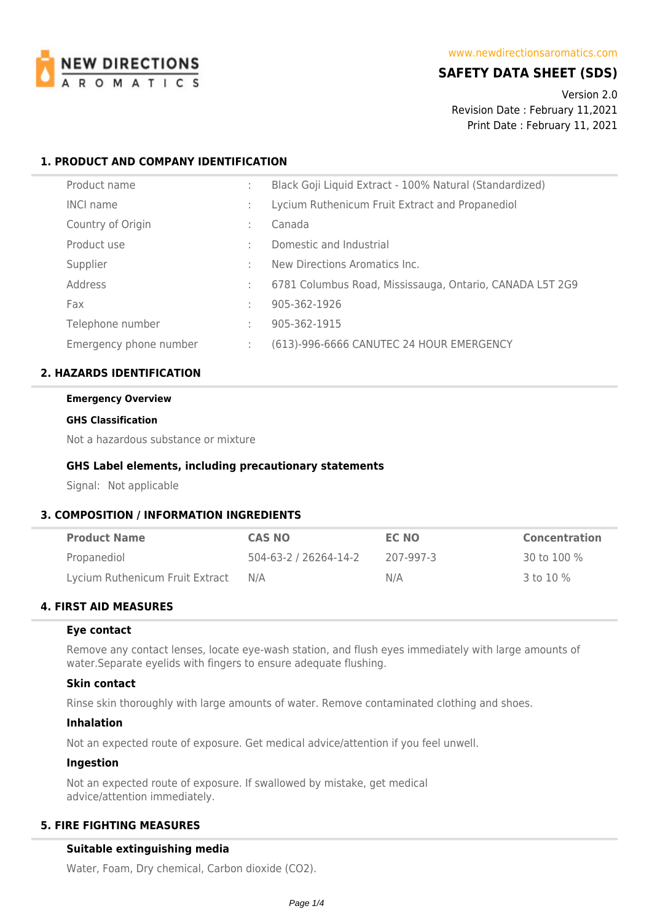

# **SAFETY DATA SHEET (SDS)**

Version 2.0 Revision Date : February 11,2021 Print Date : February 11, 2021

## **1. PRODUCT AND COMPANY IDENTIFICATION**

| Product name           |   | Black Goji Liquid Extract - 100% Natural (Standardized)  |
|------------------------|---|----------------------------------------------------------|
| <b>INCI name</b>       |   | Lycium Ruthenicum Fruit Extract and Propanediol          |
| Country of Origin      | ٠ | Canada                                                   |
| Product use            |   | Domestic and Industrial                                  |
| Supplier               |   | New Directions Aromatics Inc.                            |
| Address                |   | 6781 Columbus Road, Mississauga, Ontario, CANADA L5T 2G9 |
| Fax                    |   | 905-362-1926                                             |
| Telephone number       | ÷ | 905-362-1915                                             |
| Emergency phone number |   | (613)-996-6666 CANUTEC 24 HOUR EMERGENCY                 |

## **2. HAZARDS IDENTIFICATION**

#### **Emergency Overview**

#### **GHS Classification**

Not a hazardous substance or mixture

### **GHS Label elements, including precautionary statements**

Signal: Not applicable

## **3. COMPOSITION / INFORMATION INGREDIENTS**

| <b>Product Name</b>             | <b>CAS NO</b>         | EC NO     | <b>Concentration</b> |
|---------------------------------|-----------------------|-----------|----------------------|
| Propanediol                     | 504-63-2 / 26264-14-2 | 207-997-3 | 30 to 100 $\%$       |
| Lycium Ruthenicum Fruit Extract | N/A                   | N/A       | 3 to 10 %            |

# **4. FIRST AID MEASURES**

#### **Eye contact**

Remove any contact lenses, locate eye-wash station, and flush eyes immediately with large amounts of water.Separate eyelids with fingers to ensure adequate flushing.

#### **Skin contact**

Rinse skin thoroughly with large amounts of water. Remove contaminated clothing and shoes.

#### **Inhalation**

Not an expected route of exposure. Get medical advice/attention if you feel unwell.

## **Ingestion**

Not an expected route of exposure. If swallowed by mistake, get medical advice/attention immediately.

# **5. FIRE FIGHTING MEASURES**

### **Suitable extinguishing media**

Water, Foam, Dry chemical, Carbon dioxide (CO2).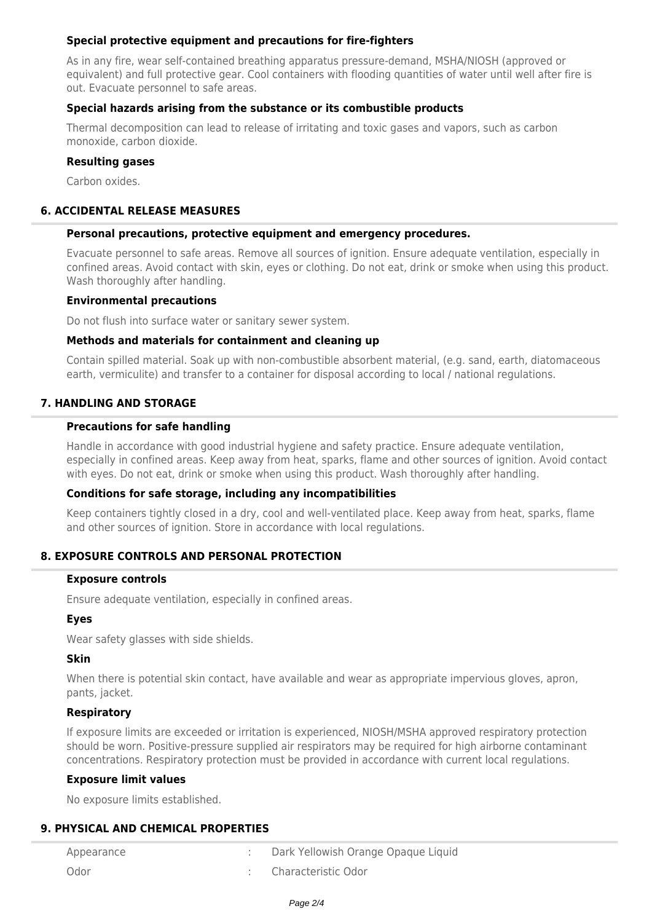# **Special protective equipment and precautions for fire-fighters**

As in any fire, wear self-contained breathing apparatus pressure-demand, MSHA/NIOSH (approved or equivalent) and full protective gear. Cool containers with flooding quantities of water until well after fire is out. Evacuate personnel to safe areas.

# **Special hazards arising from the substance or its combustible products**

Thermal decomposition can lead to release of irritating and toxic gases and vapors, such as carbon monoxide, carbon dioxide.

# **Resulting gases**

Carbon oxides.

# **6. ACCIDENTAL RELEASE MEASURES**

### **Personal precautions, protective equipment and emergency procedures.**

Evacuate personnel to safe areas. Remove all sources of ignition. Ensure adequate ventilation, especially in confined areas. Avoid contact with skin, eyes or clothing. Do not eat, drink or smoke when using this product. Wash thoroughly after handling.

### **Environmental precautions**

Do not flush into surface water or sanitary sewer system.

### **Methods and materials for containment and cleaning up**

Contain spilled material. Soak up with non-combustible absorbent material, (e.g. sand, earth, diatomaceous earth, vermiculite) and transfer to a container for disposal according to local / national regulations.

## **7. HANDLING AND STORAGE**

### **Precautions for safe handling**

Handle in accordance with good industrial hygiene and safety practice. Ensure adequate ventilation, especially in confined areas. Keep away from heat, sparks, flame and other sources of ignition. Avoid contact with eyes. Do not eat, drink or smoke when using this product. Wash thoroughly after handling.

## **Conditions for safe storage, including any incompatibilities**

Keep containers tightly closed in a dry, cool and well-ventilated place. Keep away from heat, sparks, flame and other sources of ignition. Store in accordance with local regulations.

## **8. EXPOSURE CONTROLS AND PERSONAL PROTECTION**

#### **Exposure controls**

Ensure adequate ventilation, especially in confined areas.

## **Eyes**

Wear safety glasses with side shields.

## **Skin**

When there is potential skin contact, have available and wear as appropriate impervious gloves, apron, pants, jacket.

## **Respiratory**

If exposure limits are exceeded or irritation is experienced, NIOSH/MSHA approved respiratory protection should be worn. Positive-pressure supplied air respirators may be required for high airborne contaminant concentrations. Respiratory protection must be provided in accordance with current local regulations.

#### **Exposure limit values**

No exposure limits established.

## **9. PHYSICAL AND CHEMICAL PROPERTIES**

| Appearance | Dark Yellowish Orange Opaque Liquid |
|------------|-------------------------------------|
| Odor       | : Characteristic Odor               |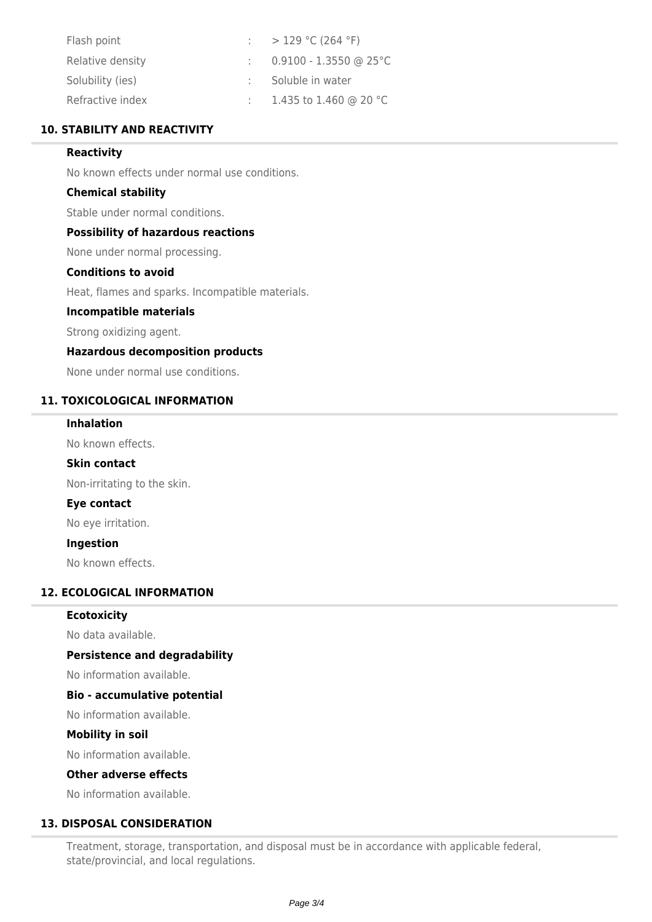| Flash point      | : $>129$ °C (264 °F)     |
|------------------|--------------------------|
| Relative density | $0.9100 - 1.3550$ @ 25°C |
| Solubility (ies) | Soluble in water         |
| Refractive index | : 1.435 to 1.460 @ 20 °C |

# **10. STABILITY AND REACTIVITY**

## **Reactivity**

No known effects under normal use conditions.

## **Chemical stability**

Stable under normal conditions.

### **Possibility of hazardous reactions**

None under normal processing.

# **Conditions to avoid**

Heat, flames and sparks. Incompatible materials.

### **Incompatible materials**

Strong oxidizing agent.

### **Hazardous decomposition products**

None under normal use conditions.

## **11. TOXICOLOGICAL INFORMATION**

## **Inhalation**

No known effects.

#### **Skin contact**

Non-irritating to the skin.

## **Eye contact**

No eye irritation.

#### **Ingestion**

No known effects.

# **12. ECOLOGICAL INFORMATION**

#### **Ecotoxicity**

No data available.

## **Persistence and degradability**

No information available.

## **Bio - accumulative potential**

No information available.

#### **Mobility in soil**

No information available.

# **Other adverse effects**

No information available.

# **13. DISPOSAL CONSIDERATION**

Treatment, storage, transportation, and disposal must be in accordance with applicable federal, state/provincial, and local regulations.